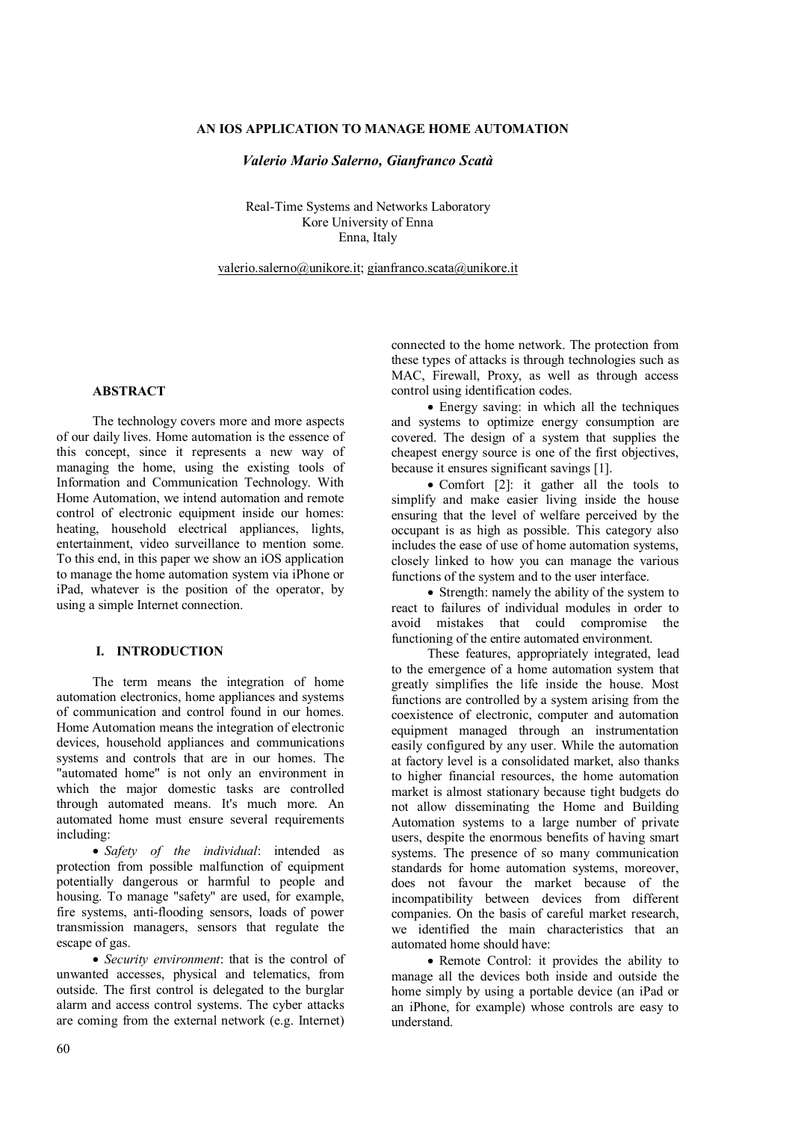## **AN IOS APPLICATION TO MANAGE HOME AUTOMATION**

#### *Valerio Mario Salerno, Gianfranco Scatà*

Real-Time Systems and Networks Laboratory Kore University of Enna Enna, Italy

valerio.salerno@unikore.it; gianfranco.scata@unikore.it

## **ABSTRACT**

The technology covers more and more aspects of our daily lives. Home automation is the essence of this concept, since it represents a new way of managing the home, using the existing tools of Information and Communication Technology. With Home Automation, we intend automation and remote control of electronic equipment inside our homes: heating, household electrical appliances, lights, entertainment, video surveillance to mention some. To this end, in this paper we show an iOS application to manage the home automation system via iPhone or iPad, whatever is the position of the operator, by using a simple Internet connection.

# **I. INTRODUCTION**

The term means the integration of home automation electronics, home appliances and systems of communication and control found in our homes. Home Automation means the integration of electronic devices, household appliances and communications systems and controls that are in our homes. The "automated home" is not only an environment in which the major domestic tasks are controlled through automated means. It's much more. An automated home must ensure several requirements including:

 *Safety of the individual*: intended as protection from possible malfunction of equipment potentially dangerous or harmful to people and housing. To manage "safety" are used, for example, fire systems, anti-flooding sensors, loads of power transmission managers, sensors that regulate the escape of gas.

 *Security environment*: that is the control of unwanted accesses, physical and telematics, from outside. The first control is delegated to the burglar alarm and access control systems. The cyber attacks are coming from the external network (e.g. Internet)

connected to the home network. The protection from these types of attacks is through technologies such as MAC, Firewall, Proxy, as well as through access control using identification codes.

 Energy saving: in which all the techniques and systems to optimize energy consumption are covered. The design of a system that supplies the cheapest energy source is one of the first objectives, because it ensures significant savings [1].

• Comfort [2]: it gather all the tools to simplify and make easier living inside the house ensuring that the level of welfare perceived by the occupant is as high as possible. This category also includes the ease of use of home automation systems, closely linked to how you can manage the various functions of the system and to the user interface.

• Strength: namely the ability of the system to react to failures of individual modules in order to avoid mistakes that could compromise the functioning of the entire automated environment.

These features, appropriately integrated, lead to the emergence of a home automation system that greatly simplifies the life inside the house. Most functions are controlled by a system arising from the coexistence of electronic, computer and automation equipment managed through an instrumentation easily configured by any user. While the automation at factory level is a consolidated market, also thanks to higher financial resources, the home automation market is almost stationary because tight budgets do not allow disseminating the Home and Building Automation systems to a large number of private users, despite the enormous benefits of having smart systems. The presence of so many communication standards for home automation systems, moreover, does not favour the market because of the incompatibility between devices from different companies. On the basis of careful market research, we identified the main characteristics that an automated home should have:

• Remote Control: it provides the ability to manage all the devices both inside and outside the home simply by using a portable device (an iPad or an iPhone, for example) whose controls are easy to understand.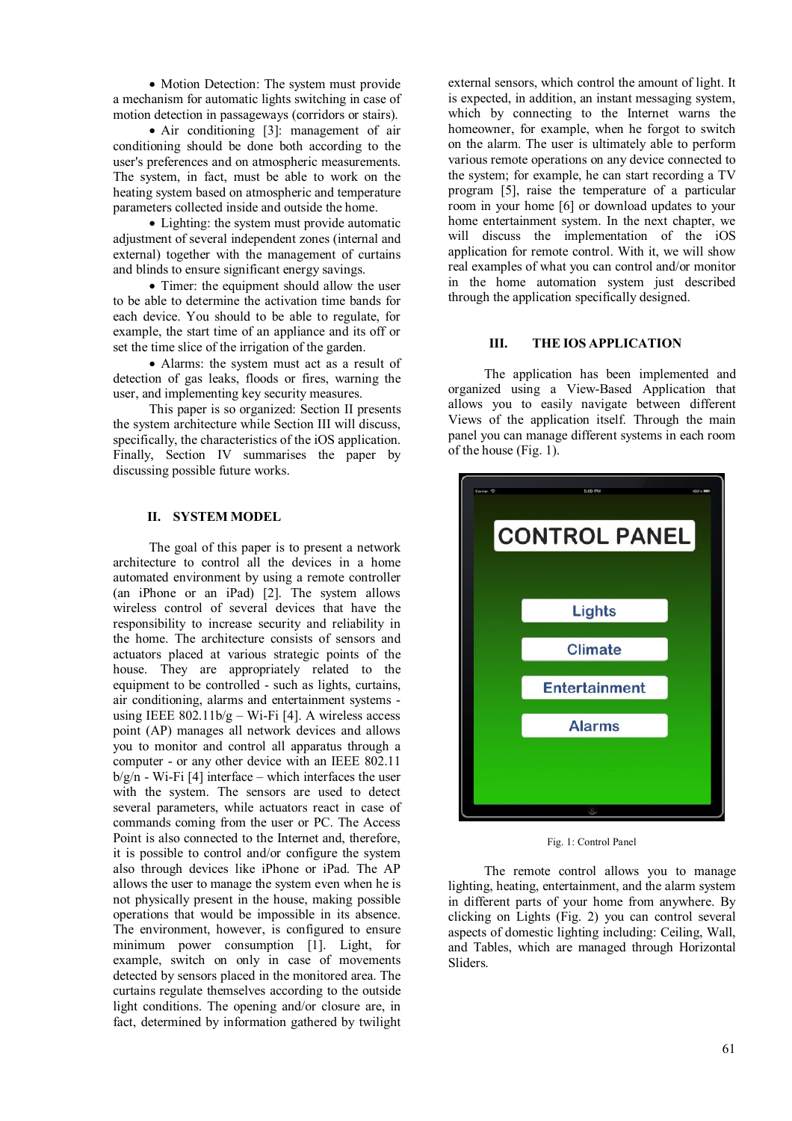• Motion Detection: The system must provide a mechanism for automatic lights switching in case of motion detection in passageways (corridors or stairs).

• Air conditioning [3]: management of air conditioning should be done both according to the user's preferences and on atmospheric measurements. The system, in fact, must be able to work on the heating system based on atmospheric and temperature parameters collected inside and outside the home.

• Lighting: the system must provide automatic adjustment of several independent zones (internal and external) together with the management of curtains and blinds to ensure significant energy savings.

• Timer: the equipment should allow the user to be able to determine the activation time bands for each device. You should to be able to regulate, for example, the start time of an appliance and its off or set the time slice of the irrigation of the garden.

 Alarms: the system must act as a result of detection of gas leaks, floods or fires, warning the user, and implementing key security measures.

This paper is so organized: Section II presents the system architecture while Section III will discuss, specifically, the characteristics of the iOS application. Finally, Section IV summarises the paper by discussing possible future works.

### **II. SYSTEM MODEL**

The goal of this paper is to present a network architecture to control all the devices in a home automated environment by using a remote controller (an iPhone or an iPad) [2]. The system allows wireless control of several devices that have the responsibility to increase security and reliability in the home. The architecture consists of sensors and actuators placed at various strategic points of the house. They are appropriately related to the equipment to be controlled - such as lights, curtains, air conditioning, alarms and entertainment systems using IEEE  $802.11b/g - Wi$ -Fi [4]. A wireless access point (AP) manages all network devices and allows you to monitor and control all apparatus through a computer - or any other device with an IEEE 802.11  $b/g/n$  - Wi-Fi [4] interface – which interfaces the user with the system. The sensors are used to detect several parameters, while actuators react in case of commands coming from the user or PC. The Access Point is also connected to the Internet and, therefore, it is possible to control and/or configure the system also through devices like iPhone or iPad. The AP allows the user to manage the system even when he is not physically present in the house, making possible operations that would be impossible in its absence. The environment, however, is configured to ensure minimum power consumption [1]. Light, for example, switch on only in case of movements detected by sensors placed in the monitored area. The curtains regulate themselves according to the outside light conditions. The opening and/or closure are, in fact, determined by information gathered by twilight

external sensors, which control the amount of light. It is expected, in addition, an instant messaging system, which by connecting to the Internet warns the homeowner, for example, when he forgot to switch on the alarm. The user is ultimately able to perform various remote operations on any device connected to the system; for example, he can start recording a TV program [5], raise the temperature of a particular room in your home [6] or download updates to your home entertainment system. In the next chapter, we will discuss the implementation of the iOS application for remote control. With it, we will show real examples of what you can control and/or monitor in the home automation system just described through the application specifically designed.

#### **III. THE IOS APPLICATION**

The application has been implemented and organized using a View-Based Application that allows you to easily navigate between different Views of the application itself. Through the main panel you can manage different systems in each room of the house (Fig. 1).



Fig. 1: Control Panel

The remote control allows you to manage lighting, heating, entertainment, and the alarm system in different parts of your home from anywhere. By clicking on Lights (Fig. 2) you can control several aspects of domestic lighting including: Ceiling, Wall, and Tables, which are managed through Horizontal Sliders.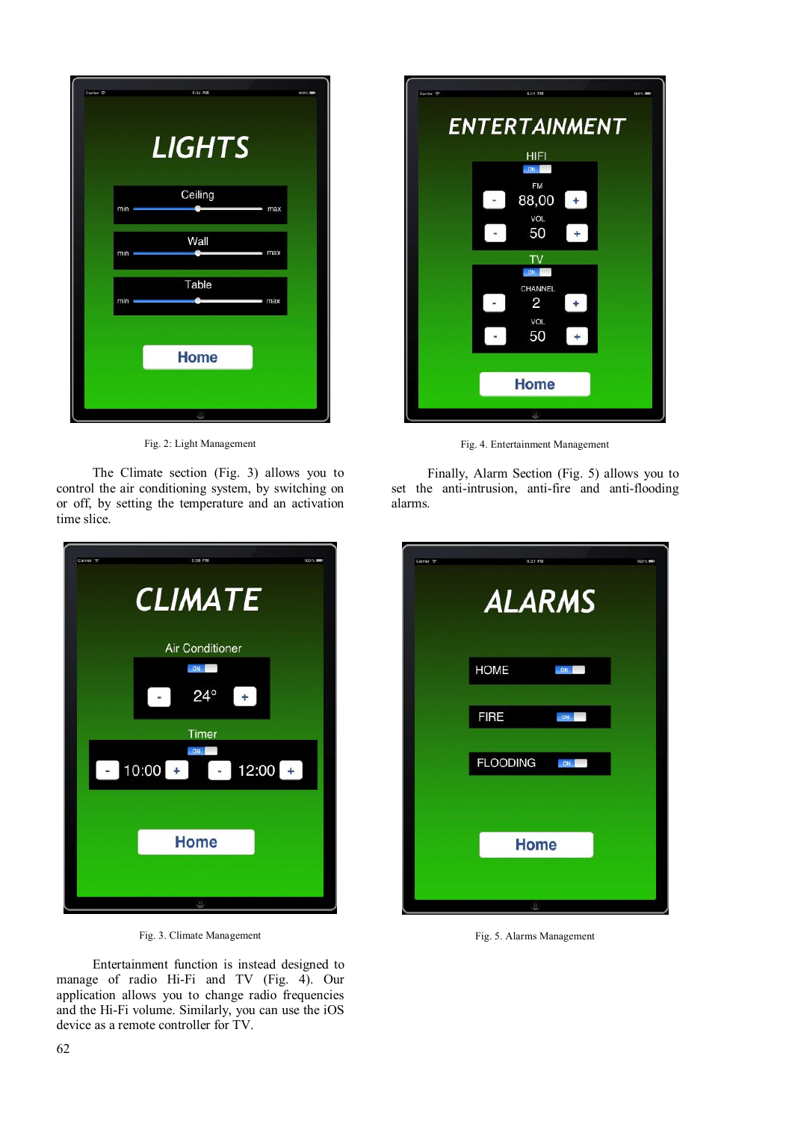| Carrier <sub>8</sub> | 5:44 PM       | 100% MM |
|----------------------|---------------|---------|
|                      | <b>LIGHTS</b> |         |
| min                  | Ceiling       | max     |
| min                  | Wall          | max     |
| min                  | Table         | max     |
|                      | <b>Home</b>   |         |
|                      | Ξ             |         |

Fig. 2: Light Management

The Climate section (Fig. 3) allows you to control the air conditioning system, by switching on or off, by setting the temperature and an activation time slice.



Fig. 3. Climate Management

Entertainment function is instead designed to manage of radio Hi-Fi and TV (Fig. 4). Our application allows you to change radio frequencies and the Hi-Fi volume. Similarly, you can use the iOS device as a remote controller for TV.



Fig. 4. Entertainment Management

Finally, Alarm Section (Fig. 5) allows you to set the anti-intrusion, anti-fire and anti-flooding alarms.

| Carrier <sup>9</sup> | 6:27 PM<br><b>ALARMS</b> |    | 100% 300 |
|----------------------|--------------------------|----|----------|
|                      | HOME                     | ON |          |
|                      | <b>FIRE</b>              | ON |          |
|                      | FLOODING ON              |    |          |
|                      |                          |    |          |
|                      | <b>Home</b>              |    |          |
|                      | Ξ                        |    |          |

Fig. 5. Alarms Management